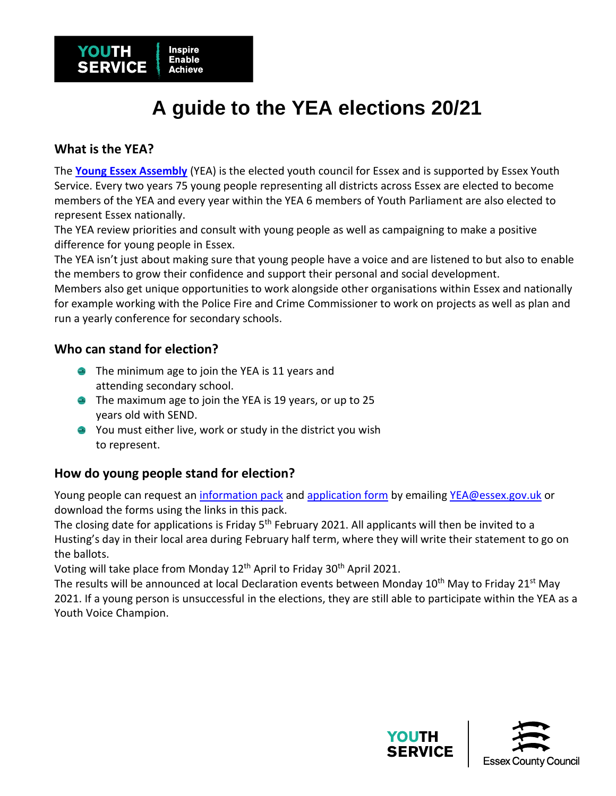

# **A guide to the YEA elections 20/21**

## **What is the YEA?**

The **[Young Essex Assembly](https://www.young-essex-assembly.org.uk/about-us/)** (YEA) is the elected youth council for Essex and is supported by Essex Youth Service. Every two years 75 young people representing all districts across Essex are elected to become members of the YEA and every year within the YEA 6 members of Youth Parliament are also elected to represent Essex nationally.

The YEA review priorities and consult with young people as well as campaigning to make a positive difference for young people in Essex.

The YEA isn't just about making sure that young people have a voice and are listened to but also to enable the members to grow their confidence and support their personal and social development.

Members also get unique opportunities to work alongside other organisations within Essex and nationally for example working with the Police Fire and Crime Commissioner to work on projects as well as plan and run a yearly conference for secondary schools.

### **Who can stand for election?**

- **•** The minimum age to join the YEA is 11 years and attending secondary school.
- **The maximum age to join the YEA is 19 years, or up to 25** years old with SEND.
- You must either live, work or study in the district you wish to represent.

### **How do young people stand for election?**

Young people can request an [information pack](https://drive.google.com/file/d/193yreaXhKqBofgeAD4IA8up-JibuR4rt/view?usp=sharing) and [application form](https://drive.google.com/file/d/1c0sDuGIx90sXEAPfCNbwVUy90xtvTFJm/view?usp=sharing) by emailing [YEA@essex.gov.uk](mailto:YEA@essex.gov.uk) or download the forms using the links in this pack.

The closing date for applications is Friday 5<sup>th</sup> February 2021. All applicants will then be invited to a Husting's day in their local area during February half term, where they will write their statement to go on the ballots.

Voting will take place from Monday 12th April to Friday 30th April 2021.

The results will be announced at local Declaration events between Monday 10<sup>th</sup> May to Friday 21<sup>st</sup> May 2021. If a young person is unsuccessful in the elections, they are still able to participate within the YEA as a Youth Voice Champion.